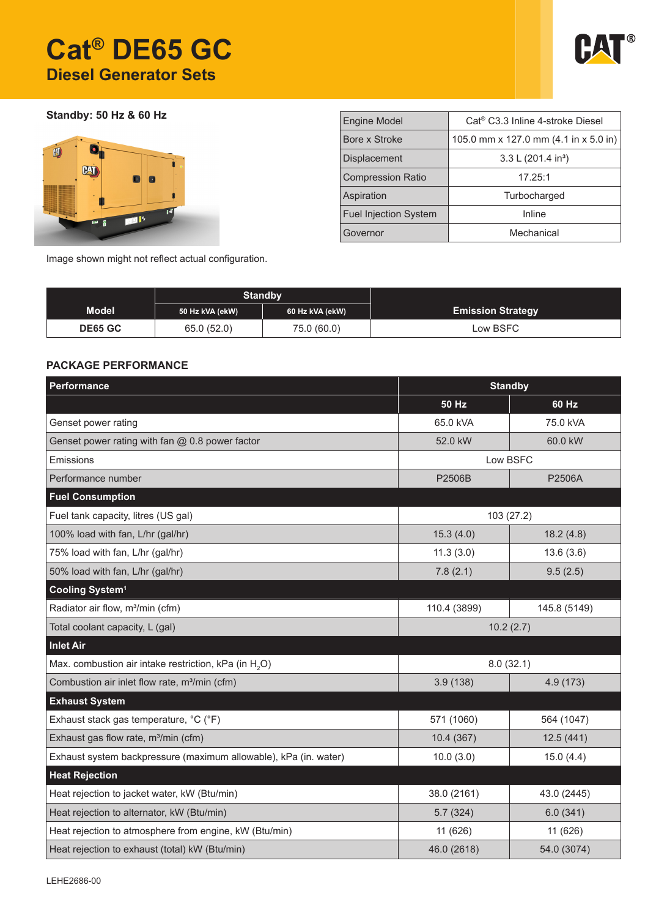# **Cat® DE65 GC Diesel Generator Sets**



**Standby: 50 Hz & 60 Hz**



| <b>Engine Model</b>          | Cat <sup>®</sup> C3.3 Inline 4-stroke Diesel |  |  |  |
|------------------------------|----------------------------------------------|--|--|--|
| Bore x Stroke                | 105.0 mm x 127.0 mm (4.1 in x 5.0 in)        |  |  |  |
| <b>Displacement</b>          | 3.3 L $(201.4 \text{ in}^3)$                 |  |  |  |
| <b>Compression Ratio</b>     | 17.25:1                                      |  |  |  |
| Aspiration                   | Turbocharged                                 |  |  |  |
| <b>Fuel Injection System</b> | Inline                                       |  |  |  |
| Governor                     | Mechanical                                   |  |  |  |
|                              |                                              |  |  |  |

Image shown might not reflect actual configuration.

|                | <b>Standby</b>  |                 |                          |
|----------------|-----------------|-----------------|--------------------------|
| <b>Model</b>   | 50 Hz kVA (ekW) | 60 Hz kVA (ekW) | <b>Emission Strategy</b> |
| <b>DE65 GC</b> | 65.0 (52.0)     | 75.0 (60.0)     | Low BSFC                 |

### **PACKAGE PERFORMANCE**

| Performance                                                       | <b>Standby</b>        |              |  |
|-------------------------------------------------------------------|-----------------------|--------------|--|
|                                                                   | <b>50 Hz</b>          | 60 Hz        |  |
| Genset power rating                                               | 65.0 kVA              | 75.0 kVA     |  |
| Genset power rating with fan $@$ 0.8 power factor                 | 52.0 kW               | 60.0 kW      |  |
| Emissions                                                         | Low BSFC              |              |  |
| Performance number                                                | P2506B                | P2506A       |  |
| <b>Fuel Consumption</b>                                           |                       |              |  |
| Fuel tank capacity, litres (US gal)                               | 103 (27.2)            |              |  |
| 100% load with fan, L/hr (gal/hr)                                 | 15.3(4.0)             | 18.2(4.8)    |  |
| 75% load with fan, L/hr (gal/hr)                                  | 11.3(3.0)             | 13.6(3.6)    |  |
| 50% load with fan, L/hr (gal/hr)                                  | 7.8(2.1)              | 9.5(2.5)     |  |
| Cooling System <sup>1</sup>                                       |                       |              |  |
| Radiator air flow, m <sup>3</sup> /min (cfm)                      | 110.4 (3899)          | 145.8 (5149) |  |
| Total coolant capacity, L (gal)                                   | 10.2(2.7)             |              |  |
| <b>Inlet Air</b>                                                  |                       |              |  |
| Max. combustion air intake restriction, kPa (in H <sub>2</sub> O) | 8.0(32.1)             |              |  |
| Combustion air inlet flow rate, m <sup>3</sup> /min (cfm)         | 3.9(138)<br>4.9 (173) |              |  |
| <b>Exhaust System</b>                                             |                       |              |  |
| Exhaust stack gas temperature, °C (°F)                            | 571 (1060)            | 564 (1047)   |  |
| Exhaust gas flow rate, m <sup>3</sup> /min (cfm)                  | 10.4(367)             | 12.5(441)    |  |
| Exhaust system backpressure (maximum allowable), kPa (in. water)  | 10.0(3.0)             | 15.0(4.4)    |  |
| <b>Heat Rejection</b>                                             |                       |              |  |
| Heat rejection to jacket water, kW (Btu/min)                      | 38.0 (2161)           | 43.0 (2445)  |  |
| Heat rejection to alternator, kW (Btu/min)                        | 5.7(324)              | 6.0(341)     |  |
| Heat rejection to atmosphere from engine, kW (Btu/min)            | 11 (626)              | 11 (626)     |  |
| Heat rejection to exhaust (total) kW (Btu/min)                    | 46.0 (2618)           | 54.0 (3074)  |  |